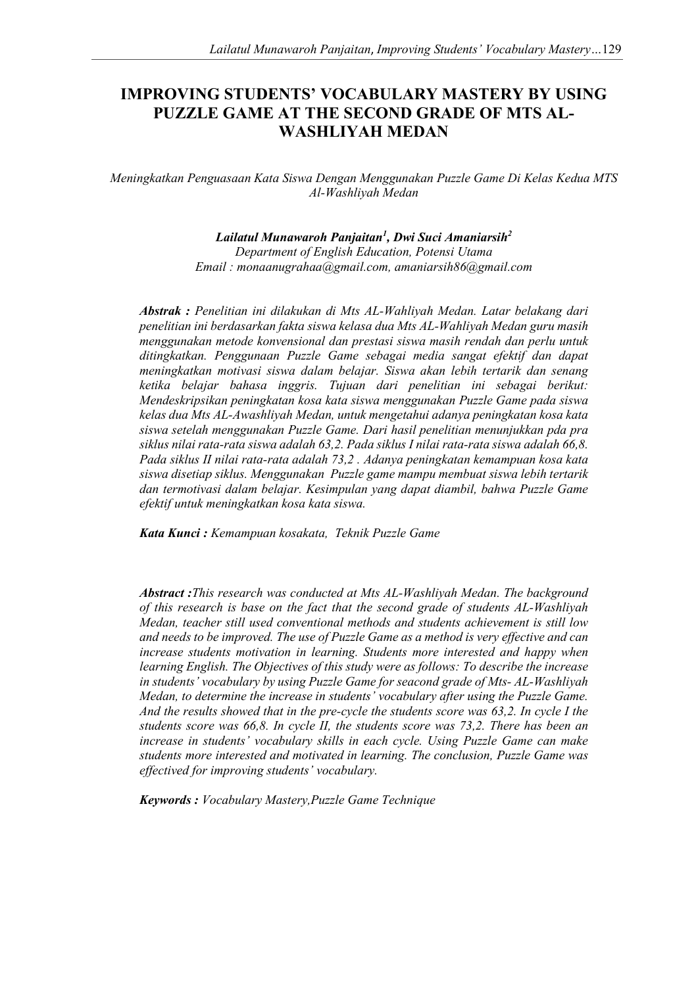# **IMPROVING STUDENTS' VOCABULARY MASTERY BY USING PUZZLE GAME AT THE SECOND GRADE OF MTS AL-WASHLIYAH MEDAN**

*Meningkatkan Penguasaan Kata Siswa Dengan Menggunakan Puzzle Game Di Kelas Kedua MTS Al-Washliyah Medan* 

# *Lailatul Munawaroh Panjaitan<sup>1</sup> , Dwi Suci Amaniarsih<sup>2</sup>*

*Department of English Education, Potensi Utama Email : monaanugrahaa@gmail.com, amaniarsih86@gmail.com* 

*Abstrak : Penelitian ini dilakukan di Mts AL-Wahliyah Medan. Latar belakang dari penelitian ini berdasarkan fakta siswa kelasa dua Mts AL-Wahliyah Medan guru masih menggunakan metode konvensional dan prestasi siswa masih rendah dan perlu untuk ditingkatkan. Penggunaan Puzzle Game sebagai media sangat efektif dan dapat meningkatkan motivasi siswa dalam belajar. Siswa akan lebih tertarik dan senang ketika belajar bahasa inggris. Tujuan dari penelitian ini sebagai berikut: Mendeskripsikan peningkatan kosa kata siswa menggunakan Puzzle Game pada siswa kelas dua Mts AL-Awashliyah Medan, untuk mengetahui adanya peningkatan kosa kata siswa setelah menggunakan Puzzle Game. Dari hasil penelitian menunjukkan pda pra siklus nilai rata-rata siswa adalah 63,2. Pada siklus I nilai rata-rata siswa adalah 66,8. Pada siklus II nilai rata-rata adalah 73,2 . Adanya peningkatan kemampuan kosa kata siswa disetiap siklus. Menggunakan Puzzle game mampu membuat siswa lebih tertarik dan termotivasi dalam belajar. Kesimpulan yang dapat diambil, bahwa Puzzle Game efektif untuk meningkatkan kosa kata siswa.* 

*Kata Kunci : Kemampuan kosakata, Teknik Puzzle Game* 

*Abstract :This research was conducted at Mts AL-Washliyah Medan. The background of this research is base on the fact that the second grade of students AL-Washliyah Medan, teacher still used conventional methods and students achievement is still low and needs to be improved. The use of Puzzle Game as a method is very effective and can increase students motivation in learning. Students more interested and happy when learning English. The Objectives of this study were as follows: To describe the increase in students' vocabulary by using Puzzle Game for seacond grade of Mts- AL-Washliyah Medan, to determine the increase in students' vocabulary after using the Puzzle Game. And the results showed that in the pre-cycle the students score was 63,2. In cycle I the students score was 66,8. In cycle II, the students score was 73,2. There has been an increase in students' vocabulary skills in each cycle. Using Puzzle Game can make students more interested and motivated in learning. The conclusion, Puzzle Game was effectived for improving students' vocabulary.* 

*Keywords : Vocabulary Mastery,Puzzle Game Technique*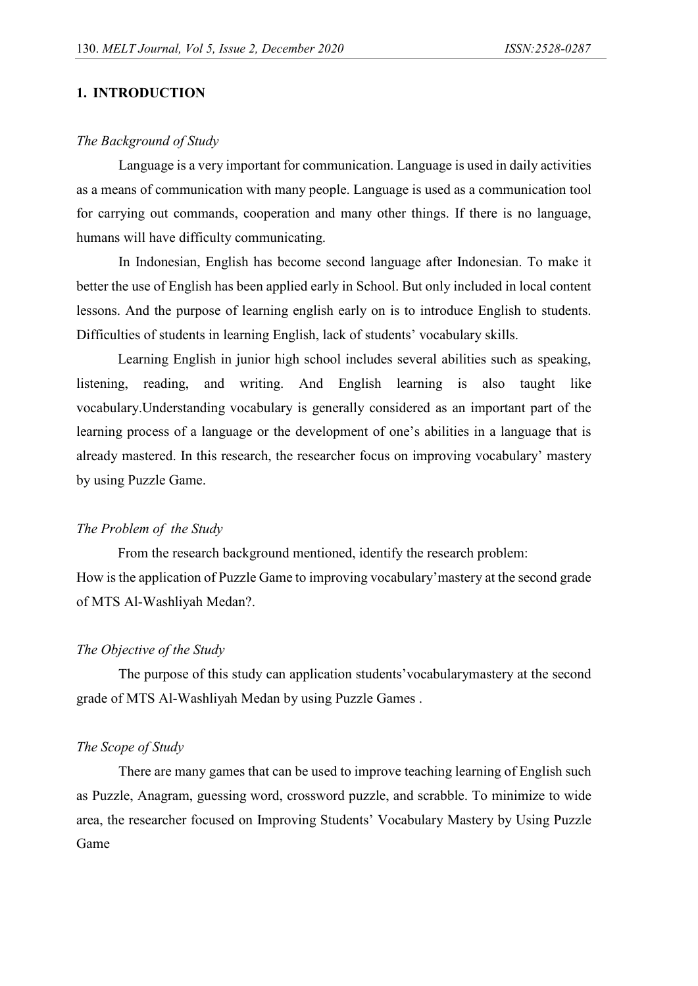## **1. INTRODUCTION**

#### *The Background of Study*

Language is a very important for communication. Language is used in daily activities as a means of communication with many people. Language is used as a communication tool for carrying out commands, cooperation and many other things. If there is no language, humans will have difficulty communicating.

In Indonesian, English has become second language after Indonesian. To make it better the use of English has been applied early in School. But only included in local content lessons. And the purpose of learning english early on is to introduce English to students. Difficulties of students in learning English, lack of students' vocabulary skills.

Learning English in junior high school includes several abilities such as speaking, listening, reading, and writing. And English learning is also taught like vocabulary.Understanding vocabulary is generally considered as an important part of the learning process of a language or the development of one's abilities in a language that is already mastered. In this research, the researcher focus on improving vocabulary' mastery by using Puzzle Game.

#### *The Problem of the Study*

From the research background mentioned, identify the research problem: How is the application of Puzzle Game to improving vocabulary'mastery at the second grade of MTS Al-Washliyah Medan?.

## *The Objective of the Study*

The purpose of this study can application students'vocabularymastery at the second grade of MTS Al-Washliyah Medan by using Puzzle Games .

#### *The Scope of Study*

There are many games that can be used to improve teaching learning of English such as Puzzle, Anagram, guessing word, crossword puzzle, and scrabble. To minimize to wide area, the researcher focused on Improving Students' Vocabulary Mastery by Using Puzzle Game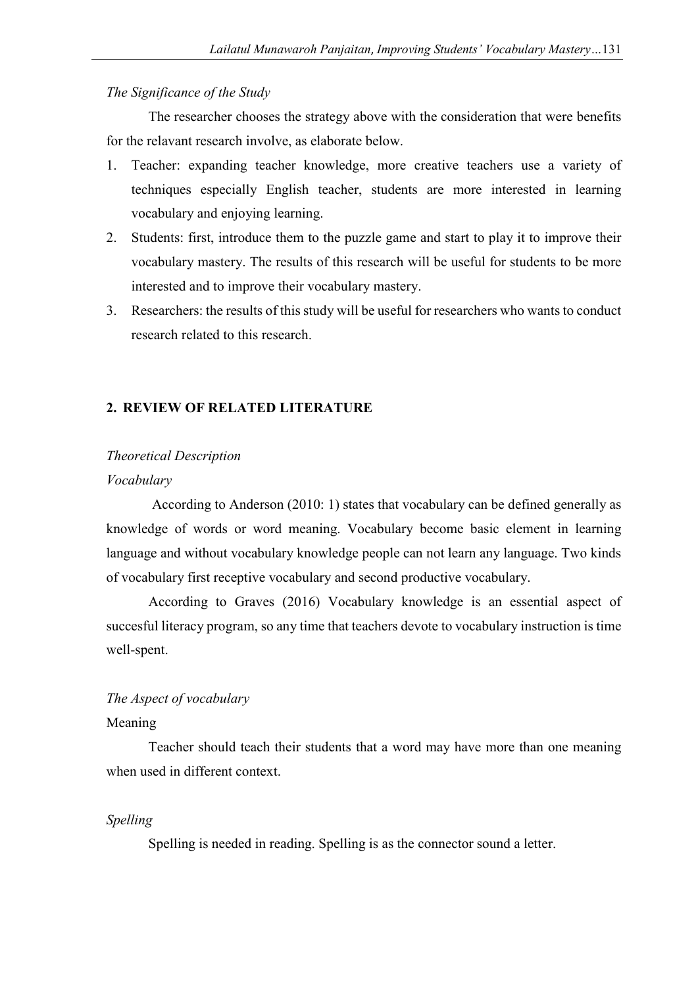## *The Significance of the Study*

The researcher chooses the strategy above with the consideration that were benefits for the relavant research involve, as elaborate below.

- 1. Teacher: expanding teacher knowledge, more creative teachers use a variety of techniques especially English teacher, students are more interested in learning vocabulary and enjoying learning.
- 2. Students: first, introduce them to the puzzle game and start to play it to improve their vocabulary mastery. The results of this research will be useful for students to be more interested and to improve their vocabulary mastery.
- 3. Researchers: the results of this study will be useful for researchers who wants to conduct research related to this research.

## **2. REVIEW OF RELATED LITERATURE**

#### *Theoretical Description*

## *Vocabulary*

 According to Anderson (2010: 1) states that vocabulary can be defined generally as knowledge of words or word meaning. Vocabulary become basic element in learning language and without vocabulary knowledge people can not learn any language. Two kinds of vocabulary first receptive vocabulary and second productive vocabulary.

According to Graves (2016) Vocabulary knowledge is an essential aspect of succesful literacy program, so any time that teachers devote to vocabulary instruction is time well-spent.

# *The Aspect of vocabulary*

# Meaning

Teacher should teach their students that a word may have more than one meaning when used in different context.

#### *Spelling*

Spelling is needed in reading. Spelling is as the connector sound a letter.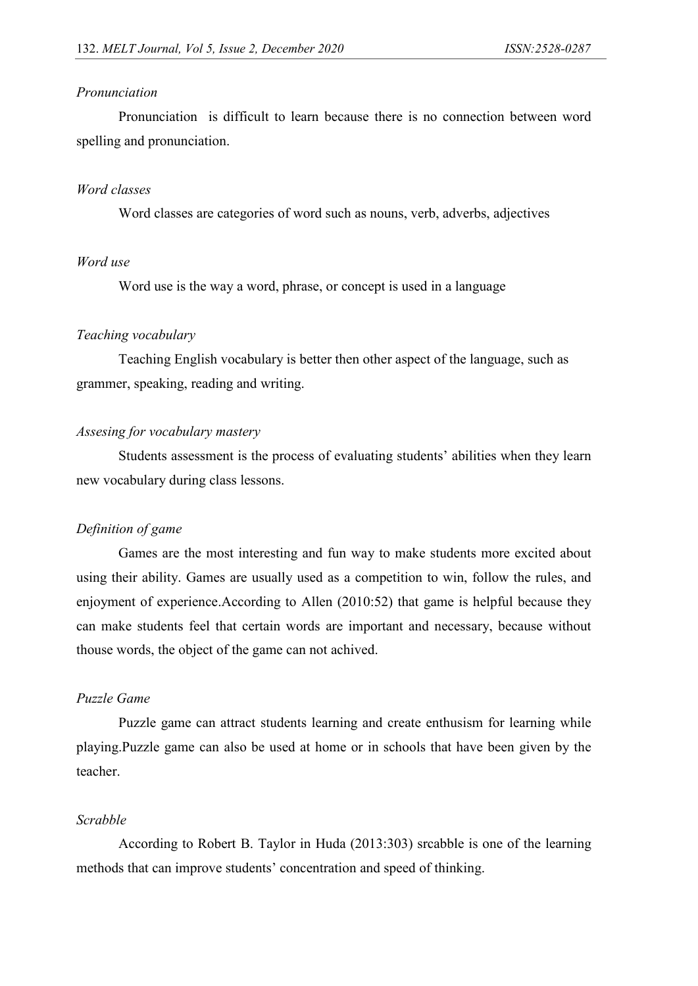## *Pronunciation*

Pronunciation is difficult to learn because there is no connection between word spelling and pronunciation.

## *Word classes*

Word classes are categories of word such as nouns, verb, adverbs, adjectives

# *Word use*

Word use is the way a word, phrase, or concept is used in a language

#### *Teaching vocabulary*

Teaching English vocabulary is better then other aspect of the language, such as grammer, speaking, reading and writing.

## *Assesing for vocabulary mastery*

Students assessment is the process of evaluating students' abilities when they learn new vocabulary during class lessons.

#### *Definition of game*

Games are the most interesting and fun way to make students more excited about using their ability. Games are usually used as a competition to win, follow the rules, and enjoyment of experience.According to Allen (2010:52) that game is helpful because they can make students feel that certain words are important and necessary, because without thouse words, the object of the game can not achived.

# *Puzzle Game*

Puzzle game can attract students learning and create enthusism for learning while playing.Puzzle game can also be used at home or in schools that have been given by the teacher.

# *Scrabble*

According to Robert B. Taylor in Huda (2013:303) srcabble is one of the learning methods that can improve students' concentration and speed of thinking.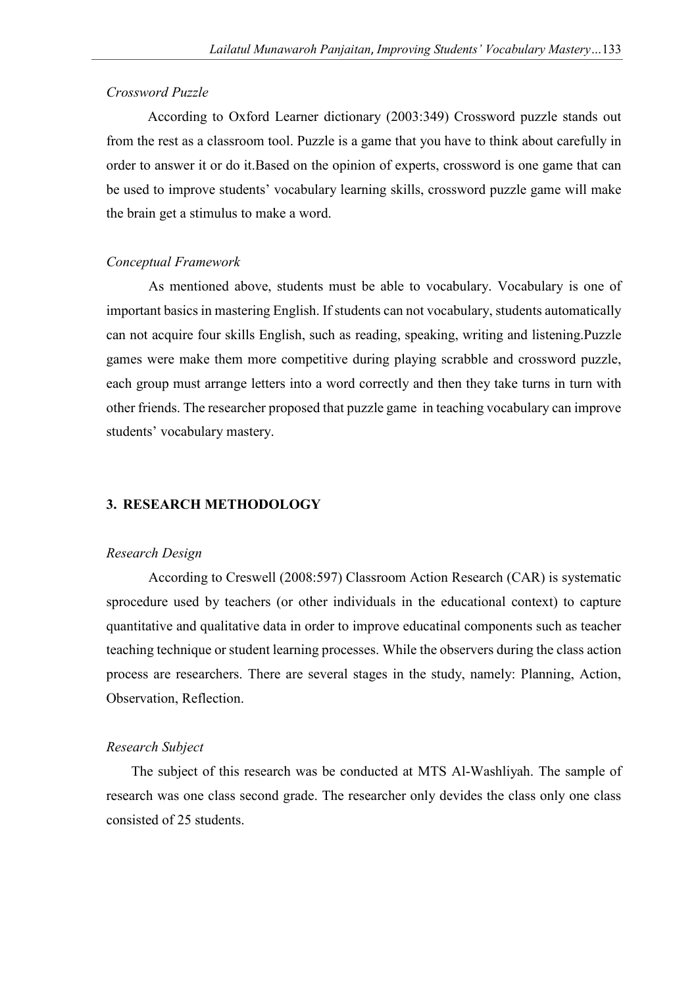## *Crossword Puzzle*

According to Oxford Learner dictionary (2003:349) Crossword puzzle stands out from the rest as a classroom tool. Puzzle is a game that you have to think about carefully in order to answer it or do it.Based on the opinion of experts, crossword is one game that can be used to improve students' vocabulary learning skills, crossword puzzle game will make the brain get a stimulus to make a word.

## *Conceptual Framework*

As mentioned above, students must be able to vocabulary. Vocabulary is one of important basics in mastering English. If students can not vocabulary, students automatically can not acquire four skills English, such as reading, speaking, writing and listening.Puzzle games were make them more competitive during playing scrabble and crossword puzzle, each group must arrange letters into a word correctly and then they take turns in turn with other friends. The researcher proposed that puzzle game in teaching vocabulary can improve students' vocabulary mastery.

### **3. RESEARCH METHODOLOGY**

#### *Research Design*

According to Creswell (2008:597) Classroom Action Research (CAR) is systematic sprocedure used by teachers (or other individuals in the educational context) to capture quantitative and qualitative data in order to improve educatinal components such as teacher teaching technique or student learning processes. While the observers during the class action process are researchers. There are several stages in the study, namely: Planning, Action, Observation, Reflection.

#### *Research Subject*

The subject of this research was be conducted at MTS Al-Washliyah. The sample of research was one class second grade. The researcher only devides the class only one class consisted of 25 students.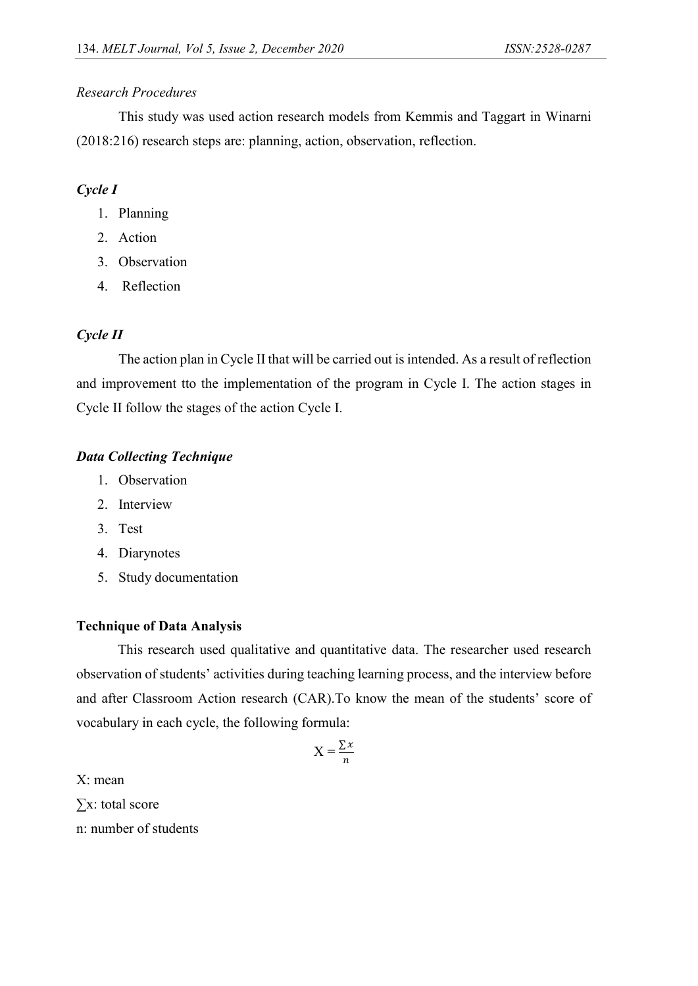## *Research Procedures*

This study was used action research models from Kemmis and Taggart in Winarni (2018:216) research steps are: planning, action, observation, reflection.

# *Cycle I*

- 1. Planning
- 2. Action
- 3. Observation
- 4. Reflection

# *Cycle II*

The action plan in Cycle II that will be carried out is intended. As a result of reflection and improvement tto the implementation of the program in Cycle I. The action stages in Cycle II follow the stages of the action Cycle I.

# *Data Collecting Technique*

- 1. Observation
- 2. Interview
- 3. Test
- 4. Diarynotes
- 5. Study documentation

# **Technique of Data Analysis**

This research used qualitative and quantitative data. The researcher used research observation of students' activities during teaching learning process, and the interview before and after Classroom Action research (CAR).To know the mean of the students' score of vocabulary in each cycle, the following formula:

$$
X = \frac{\sum x}{n}
$$

X: mean ∑x: total score n: number of students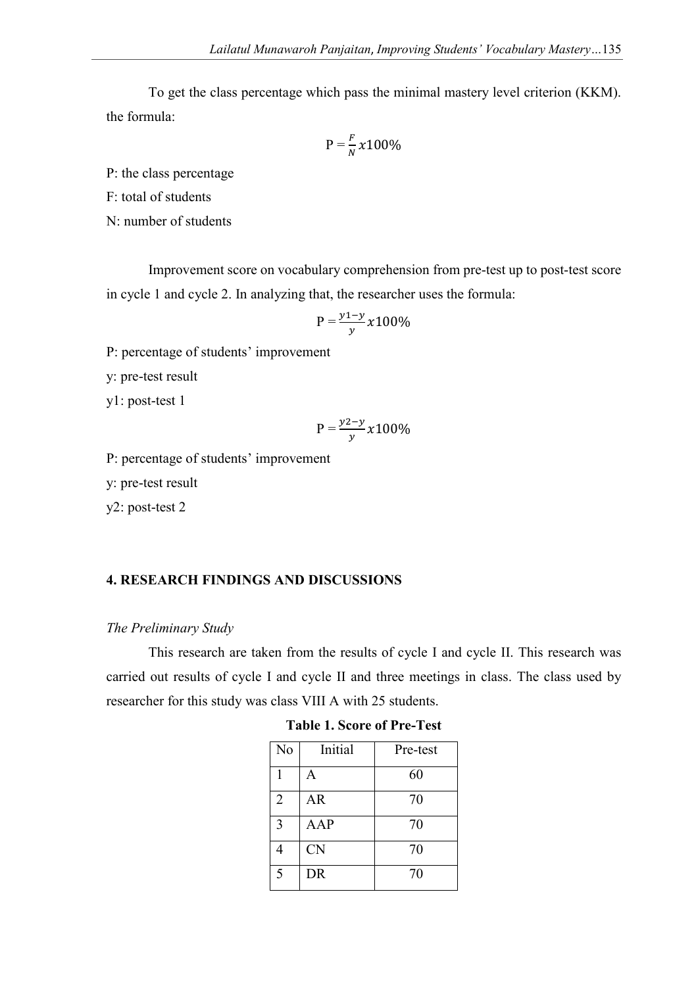To get the class percentage which pass the minimal mastery level criterion (KKM). the formula:

$$
P = \frac{F}{N} \times 100\%
$$

P: the class percentage

F: total of students

N: number of students

Improvement score on vocabulary comprehension from pre-test up to post-test score in cycle 1 and cycle 2. In analyzing that, the researcher uses the formula:

$$
P = \frac{y_1 - y}{y} x 100\%
$$

P: percentage of students' improvement

y: pre-test result

y1: post-test 1

$$
P = \frac{y^2 - y}{y} x 100\%
$$

P: percentage of students' improvement

y: pre-test result

y2: post-test 2

# **4. RESEARCH FINDINGS AND DISCUSSIONS**

#### *The Preliminary Study*

This research are taken from the results of cycle I and cycle II. This research was carried out results of cycle I and cycle II and three meetings in class. The class used by researcher for this study was class VIII A with 25 students.

| No             | Initial   | Pre-test |
|----------------|-----------|----------|
|                | A         | 60       |
| $\overline{2}$ | AR        | 70       |
| 3              | AAP       | 70       |
| 4              | <b>CN</b> | 70       |
| $\overline{5}$ | <b>DR</b> | 70       |

**Table 1. Score of Pre-Test**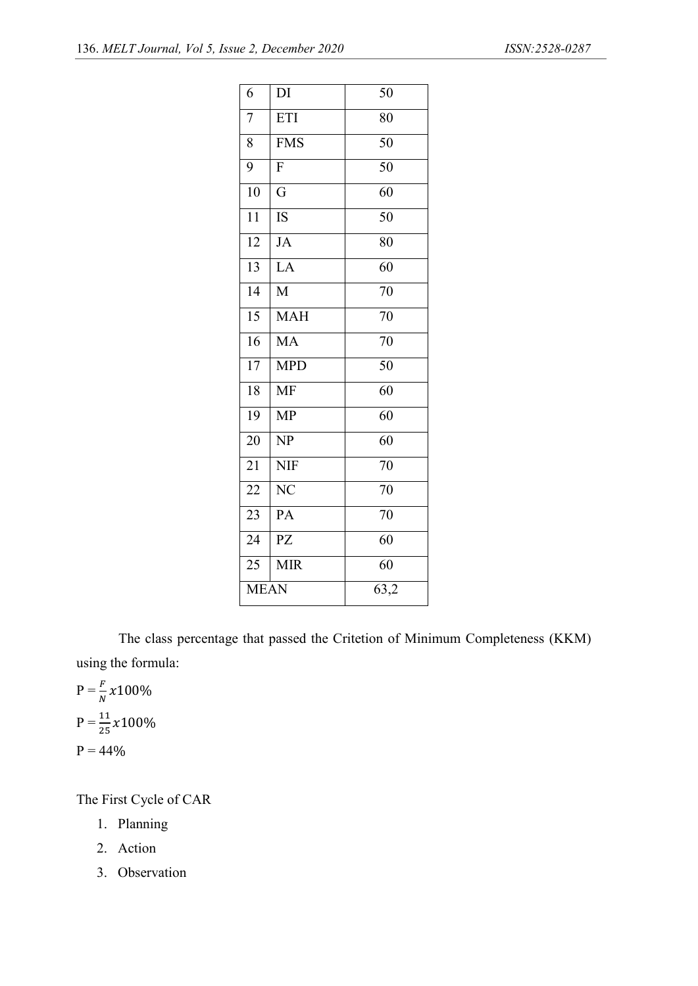| 6                        | DI                      | 50              |
|--------------------------|-------------------------|-----------------|
| $\overline{7}$           | ETI                     | 80              |
| 8                        | <b>FMS</b>              | $\overline{50}$ |
| 9                        | $\overline{F}$          | $\overline{50}$ |
| $\overline{10}$          | $\overline{\mathrm{G}}$ | 60              |
| 11                       | IS                      | 50              |
| $\overline{12}$          | JA                      | 80              |
| $\overline{13}$          | LA                      | $\overline{60}$ |
| $\overline{14}$          | $\overline{M}$          | $\overline{70}$ |
| $\overline{15}$          | $M\overline{AH}$        | $\overline{70}$ |
| $\overline{16}$          | <b>MA</b>               | $\overline{70}$ |
| $\overline{17}$          | <b>MPD</b>              | $\overline{50}$ |
| $\overline{18}$          | <b>MF</b>               | $\overline{60}$ |
| $\overline{19}$          | <b>MP</b>               | $\overline{60}$ |
| 20                       | NP                      | 60              |
| 21                       | <b>NIF</b>              | 70              |
| 22                       | $\overline{\text{NC}}$  | $\overline{70}$ |
| 23                       | PA                      | 70              |
| $\overline{24}$          | $\overline{P}Z$         | $\overline{60}$ |
| 25                       | <b>MIR</b>              | $\overline{60}$ |
| $\overline{\text{MEAN}}$ |                         | 63,2            |

 The class percentage that passed the Critetion of Minimum Completeness (KKM) using the formula:

 $P = \frac{F}{N} \chi 100\%$  $P = \frac{11}{25} \times 100\%$  $P = 44%$ 

The First Cycle of CAR

- 1. Planning
- 2. Action
- 3. Observation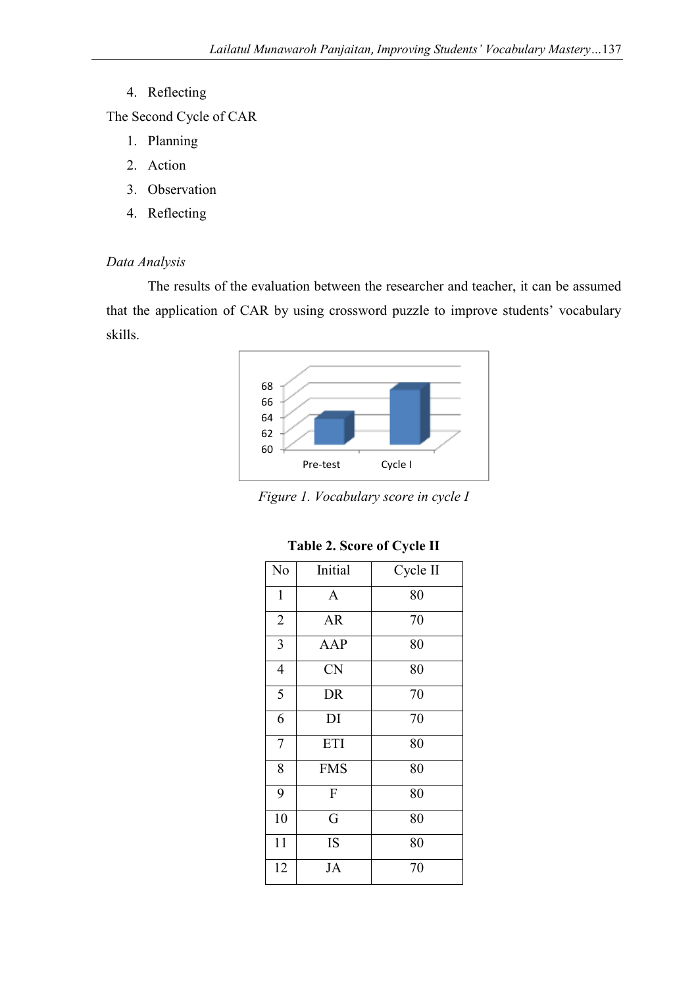4. Reflecting

The Second Cycle of CAR

- 1. Planning
- 2. Action
- 3. Observation
- 4. Reflecting

# *Data Analysis*

 The results of the evaluation between the researcher and teacher, it can be assumed that the application of CAR by using crossword puzzle to improve students' vocabulary skills.



*Figure 1. Vocabulary score in cycle I* 

| No             | Initial      | Cycle II |  |
|----------------|--------------|----------|--|
| $\mathbf{1}$   | $\mathbf{A}$ | 80       |  |
| $\overline{2}$ | <b>AR</b>    | 70       |  |
| $\overline{3}$ | AAP          | 80       |  |
| $\overline{4}$ | <b>CN</b>    | 80       |  |
| 5              | DR           | 70       |  |
| 6              | DI           | 70       |  |
| $\overline{7}$ | <b>ETI</b>   | 80       |  |
| 8              | <b>FMS</b>   | 80       |  |
| 9              | F            | 80       |  |
| 10             | G            | 80       |  |
| 11             | IS           | 80       |  |
| 12<br>JA       |              | 70       |  |

**Table 2. Score of Cycle II**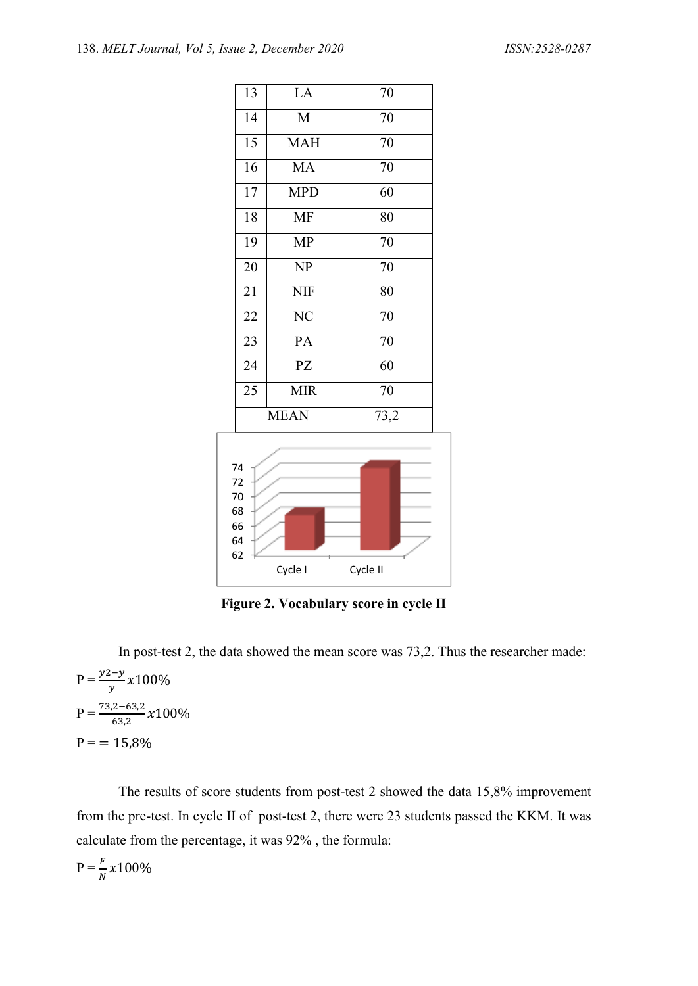

**Figure 2. Vocabulary score in cycle II** 

In post-test 2, the data showed the mean score was 73,2. Thus the researcher made:

$$
P = \frac{y^2 - y}{y} x 100\%
$$
  
 
$$
P = \frac{73.2 - 63.2}{63.2} x 100\%
$$
  
 
$$
P = 15.8\%
$$

The results of score students from post-test 2 showed the data 15,8% improvement from the pre-test. In cycle II of post-test 2, there were 23 students passed the KKM. It was calculate from the percentage, it was 92% , the formula:

 $P = \frac{F}{N} \chi 100\%$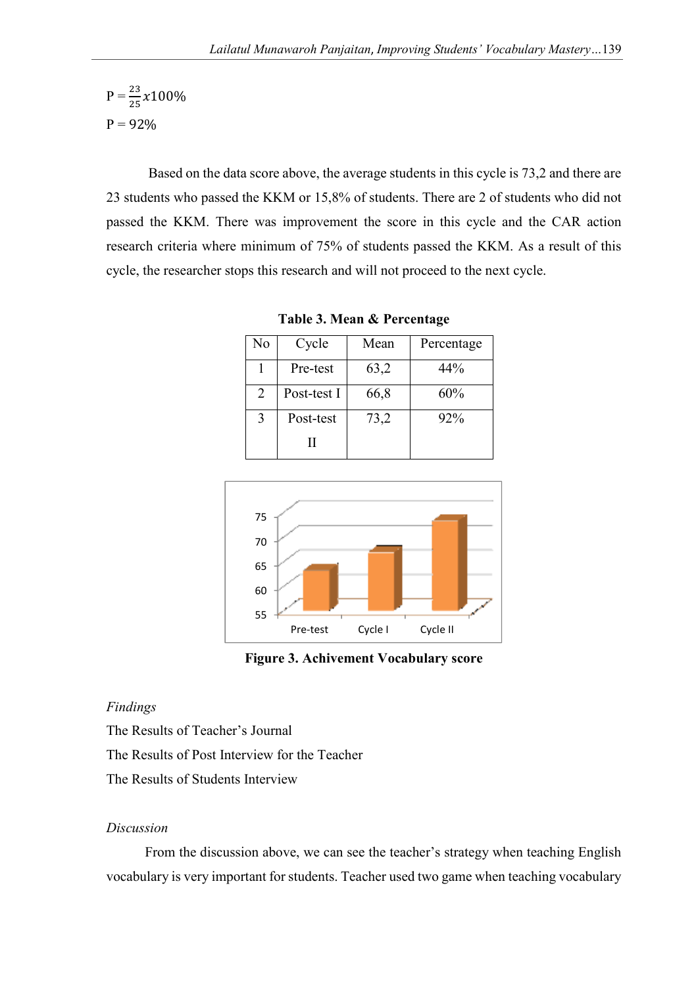$$
P = \frac{23}{25} \times 100\%
$$
  
P = 92%

Based on the data score above, the average students in this cycle is 73,2 and there are 23 students who passed the KKM or 15,8% of students. There are 2 of students who did not passed the KKM. There was improvement the score in this cycle and the CAR action research criteria where minimum of 75% of students passed the KKM. As a result of this cycle, the researcher stops this research and will not proceed to the next cycle.

| No | Cycle       | Mean | Percentage |
|----|-------------|------|------------|
|    | Pre-test    | 63,2 | 44%        |
| 2  | Post-test I | 66,8 | 60%        |
| 3  | Post-test   | 73,2 | 92%        |
|    |             |      |            |

**Table 3. Mean & Percentage** 



**Figure 3. Achivement Vocabulary score** 

## *Findings*

The Results of Teacher's Journal The Results of Post Interview for the Teacher The Results of Students Interview

# *Discussion*

 From the discussion above, we can see the teacher's strategy when teaching English vocabulary is very important for students. Teacher used two game when teaching vocabulary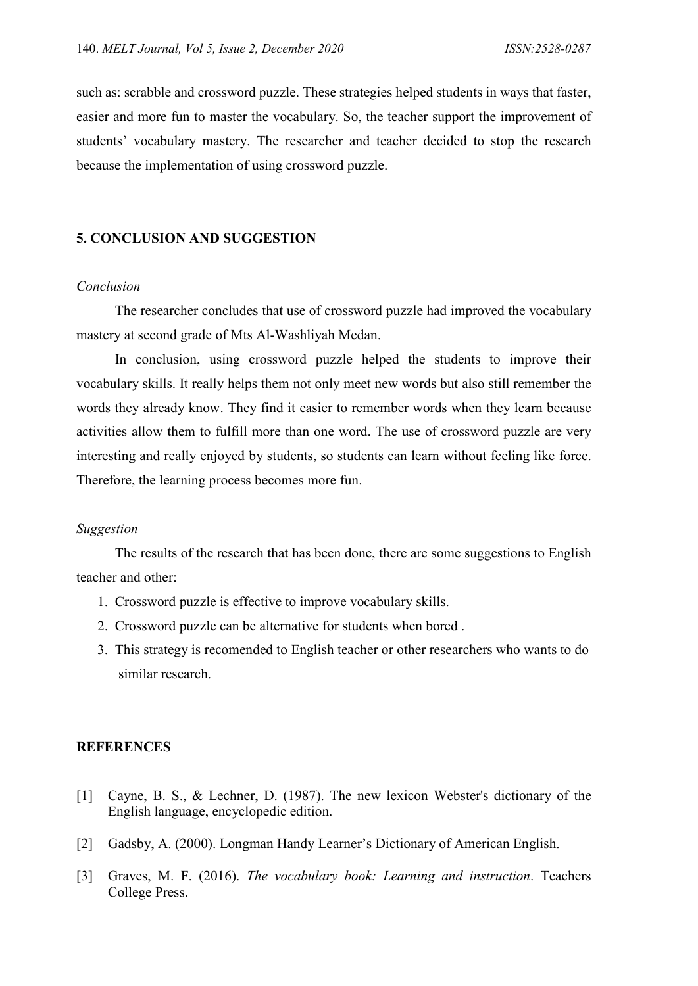such as: scrabble and crossword puzzle. These strategies helped students in ways that faster, easier and more fun to master the vocabulary. So, the teacher support the improvement of students' vocabulary mastery. The researcher and teacher decided to stop the research because the implementation of using crossword puzzle.

# **5. CONCLUSION AND SUGGESTION**

#### *Conclusion*

 The researcher concludes that use of crossword puzzle had improved the vocabulary mastery at second grade of Mts Al-Washliyah Medan.

 In conclusion, using crossword puzzle helped the students to improve their vocabulary skills. It really helps them not only meet new words but also still remember the words they already know. They find it easier to remember words when they learn because activities allow them to fulfill more than one word. The use of crossword puzzle are very interesting and really enjoyed by students, so students can learn without feeling like force. Therefore, the learning process becomes more fun.

#### *Suggestion*

 The results of the research that has been done, there are some suggestions to English teacher and other:

- 1. Crossword puzzle is effective to improve vocabulary skills.
- 2. Crossword puzzle can be alternative for students when bored .
- 3. This strategy is recomended to English teacher or other researchers who wants to do similar research.

#### **REFERENCES**

- [1] Cayne, B. S., & Lechner, D. (1987). The new lexicon Webster's dictionary of the English language, encyclopedic edition.
- [2] Gadsby, A. (2000). Longman Handy Learner's Dictionary of American English.
- [3] Graves, M. F. (2016). *The vocabulary book: Learning and instruction*. Teachers College Press.